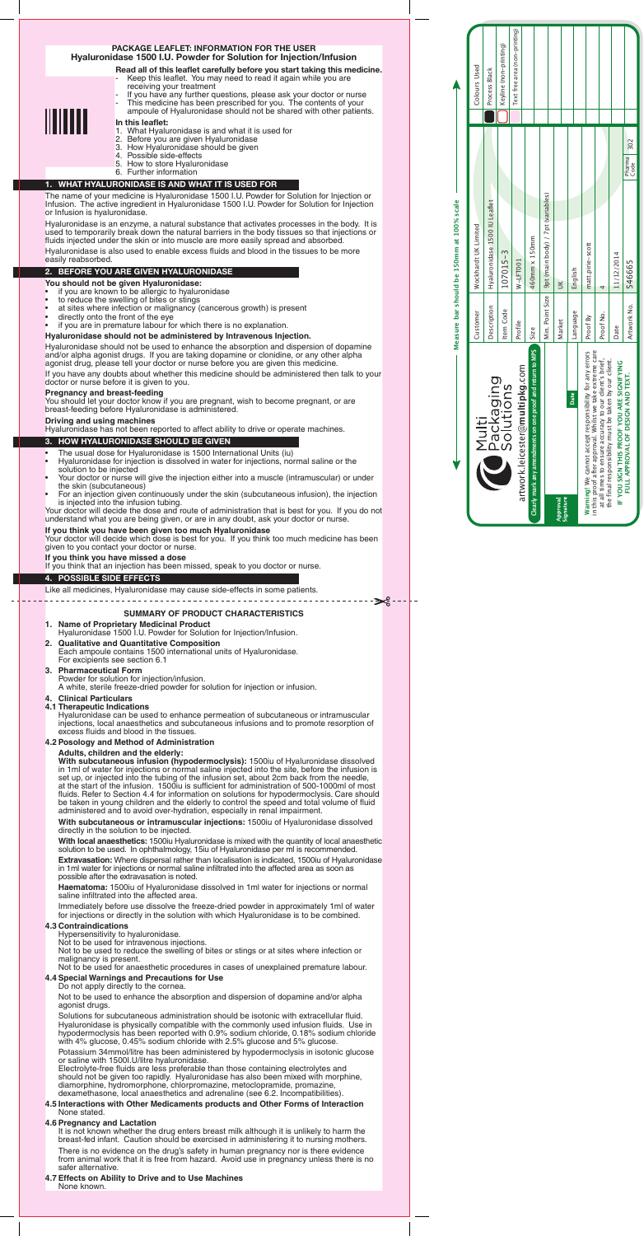# **PACKAGE LEAFLET: INFORMATION FOR THE USER Hyaluronidase 1500 I.U. Powder for Solution for Injection/Infusion**

**Read all of this leaflet carefully before you start taking this medicine.** Keep this leaflet. You may need to read it again while you are receiving your treatment

- If you have any further questions, please ask your doctor or nurse - This medicine has been prescribed for you. The contents of your



#### ampoule of Hyaluronidase should not be shared with other patients. **In this leaflet:**

- 1. What Hyaluronidase is and what it is used for
- 2. Before you are given Hyaluronidase
- 3. How Hyaluronidase should be given
- 4. Possible side-effects
- 5. How to store Hyaluronidase 6. Further information

- **You should not be given Hyaluronidase:**
- if you are known to be allergic to hyaluronidase
- to reduce the swelling of bites or stings
- at sites where infection or malignancy (cancerous growth) is present
- directly onto the front of the eye
- if you are in premature labour for which there is no explanation.

# **1. WHAT HYALURONIDASE IS AND WHAT IT IS USED FOR**

The name of your medicine is Hyaluronidase 1500 I.U. Powder for Solution for Injection or Infusion. The active ingredient in Hyaluronidase 1500 I.U. Powder for Solution for Injection or Infusion is hyaluronidase.

Hyaluronidase is an enzyme, a natural substance that activates processes in the body. It is used to temporarily break down the natural barriers in the body tissues so that injections or fluids injected under the skin or into muscle are more easily spread and absorbed.

Hyaluronidase is also used to enable excess fluids and blood in the tissues to be more easily reabsorbed.

# **2. BEFORE YOU ARE GIVEN HYALURONIDASE**

- The usual dose for Hyaluronidase is 1500 International Units (iu)
- Hyaluronidase for injection is dissolved in water for injections, normal saline or the solution to be injected
- Your doctor or nurse will give the injection either into a muscle (intramuscular) or under the skin (subcutaneous)
- For an injection given continuously under the skin (subcutaneous infusion), the injection is injected into the infusion tubing.

Your doctor will decide the dose and route of administration that is best for you. If you do not understand what you are being given, or are in any doubt, ask your doctor or nurse.

Your doctor will decide which dose is best for you. If you think too much medicine has been given to you contact your doctor or nurse.

#### **Hyaluronidase should not be administered by Intravenous Injection.**

Hyaluronidase should not be used to enhance the absorption and dispersion of dopamine and/or alpha agonist drugs. If you are taking dopamine or clonidine, or any other alpha agonist drug, please tell your doctor or nurse before you are given this medicine.

If you have any doubts about whether this medicine should be administered then talk to your doctor or nurse before it is given to you.

#### **Pregnancy and breast-feeding**

You should let your doctor know if you are pregnant, wish to become pregnant, or are breast-feeding before Hyaluronidase is administered.

**Driving and using machines**

Hyaluronidase has not been reported to affect ability to drive or operate machines.

# **3. HOW HYALURONIDASE SHOULD BE GIVEN**

#### **If you think you have been given too much Hyaluronidase**

#### **If you think you have missed a dose**

If you think that an injection has been missed, speak to you doctor or nurse.

#### **4. POSSIBLE SIDE EFFECTS**

Like all medicines, Hyaluronidase may cause side-effects in some patients.

# **SUMMARY OF PRODUCT CHARACTERISTICS**

It is not known whether the drug enters breast milk although it is unlikely to harm the breast-fed infant. Caution should be exercised in administering it to nursing mothers.

- **1. Name of Proprietary Medicinal Product** Hyaluronidase 1500 I.U. Powder for Solution for Injection/Infusion. **2. Qualitative and Quantitative Composition**
- Each ampoule contains 1500 international units of Hyaluronidase. For excipients see section 6.1
- **3. Pharmaceutical Form** Powder for solution for injection/infusion. A white, sterile freeze-dried powder for solution for injection or infusion.
- **4. Clinical Particulars**
- **4.1 Therapeutic Indications**

Hyaluronidase can be used to enhance permeation of subcutaneous or intramuscular injections, local anaesthetics and subcutaneous infusions and to promote resorption of excess fluids and blood in the tissues.

# **4.2 Posology and Method of Administration**

**Adults, children and the elderly:**

**With subcutaneous infusion (hypodermoclysis):** 1500iu of Hyaluronidase dissolved in 1ml of water for injections or normal saline injected into the site, before the infusion is set up, or injected into the tubing of the infusion set, about 2cm back from the needle, at the start of the infusion. 1500iu is sufficient for administration of 500-1000ml of most fluids. Refer to Section 4.4 for information on solutions for hypodermoclysis. Care should be taken in young children and the elderly to control the speed and total volume of fluid administered and to avoid over-hydration, especially in renal impairment.

 **With subcutaneous or intramuscular injections:** 1500iu of Hyaluronidase dissolved directly in the solution to be injected.

**With local anaesthetics:** 1500iu Hyaluronidase is mixed with the quantity of local anaesthetic

solution to be used. In ophthalmology, 15iu of Hyaluronidase per ml is recommended.

 **Extravasation:** Where dispersal rather than localisation is indicated, 1500iu of Hyaluronidase in 1ml water for injections or normal saline infiltrated into the affected area as soon as possible after the extravasation is noted.

 **Haematoma:** 1500iu of Hyaluronidase dissolved in 1ml water for injections or normal saline infiltrated into the affected area.

Immediately before use dissolve the freeze-dried powder in approximately 1ml of water for injections or directly in the solution with which Hyaluronidase is to be combined.

#### **4.3 Contraindications**

Hypersensitivity to hyaluronidase.

Not to be used for intravenous injections.

Not to be used to reduce the swelling of bites or stings or at sites where infection or malignancy is present.

Not to be used for anaesthetic procedures in cases of unexplained premature labour.

#### **4.4 Special Warnings and Precautions for Use**

Do not apply directly to the cornea.

Not to be used to enhance the absorption and dispersion of dopamine and/or alpha agonist drugs.

Solutions for subcutaneous administration should be isotonic with extracellular fluid. Hyaluronidase is physically compatible with the commonly used infusion fluids. Use in hypodermoclysis has been reported with 0.9% sodium chloride, 0.18% sodium chloride with 4% glucose, 0.45% sodium chloride with 2.5% glucose and 5% glucose.

Potassium 34mmol/litre has been administered by hypodermoclysis in isotonic glucose or saline with 1500I.U/litre hyaluronidase.

Electrolyte-free fluids are less preferable than those containing electrolytes and should not be given too rapidly. Hyaluronidase has also been mixed with morphine, diamorphine, hydromorphone, chlorpromazine, metoclopramide, promazine, dexamethasone, local anaesthetics and adrenaline (see 6.2. Incompatibilities).

#### **4.5 Interactions with Other Medicaments products and Other Forms of Interaction** None stated.

#### **4.6 Pregnancy and Lactation**

There is no evidence on the drug's safety in human pregnancy nor is there evidence from animal work that it is free from hazard. Avoid use in pregnancy unless there is no safer alternative.

#### **4.7 Effects on Ability to Drive and to Use Machines** None known.